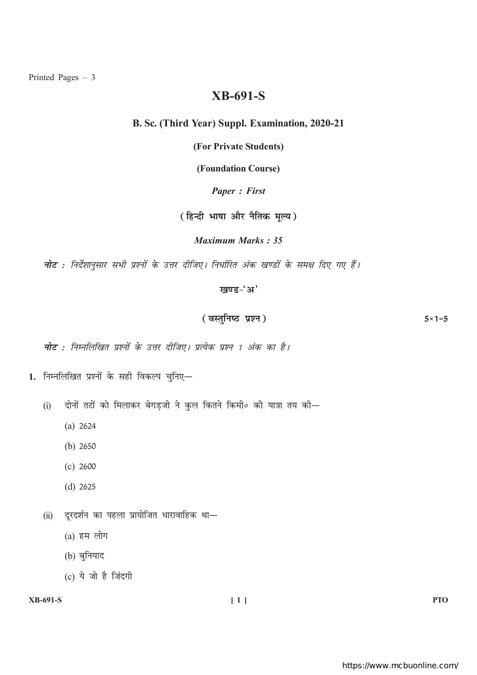# **XB-691-S**

# B. Sc. (Third Year) Suppl. Examination, 2020-21

(For Private Students)

(Foundation Course)

**Paper: First** 

(हिन्दी भाषा और नैतिक मूल्य)

**Maximum Marks: 35** 

नोट : निर्देशानुसार सभी प्रश्नों के उत्तर दीजिए। निर्धारित अंक खण्डों के समक्ष दिए गए हैं।

खण्ड-'अ'

(वस्तुनिष्ठ प्रश्न)  $5 \times 1 = 5$ 

**नोट** : निम्नलिखित प्रश्नों के उत्तर दीजिए। प्रत्येक प्रश्न 1 अंक का है।

- 1. निम्नलिखित प्रश्नों के सही विकल्प चुनिए-
	- दोनों तटों को मिलाकर बेगड़जी ने कुल कितने किमी० की यात्रा तय की—  $(i)$ 
		- $(a) 2624$
		- (b)  $2650$
		- $(c) 2600$
		- $(d)$  2625
	- (ii) दूरदर्शन का पहला प्रायोजित धारावाहिक था-
		- $(a)$  हम लोग
		- (b) बुनियाद
		- (c) ये जो है जिंदगी

# **XB-691-S**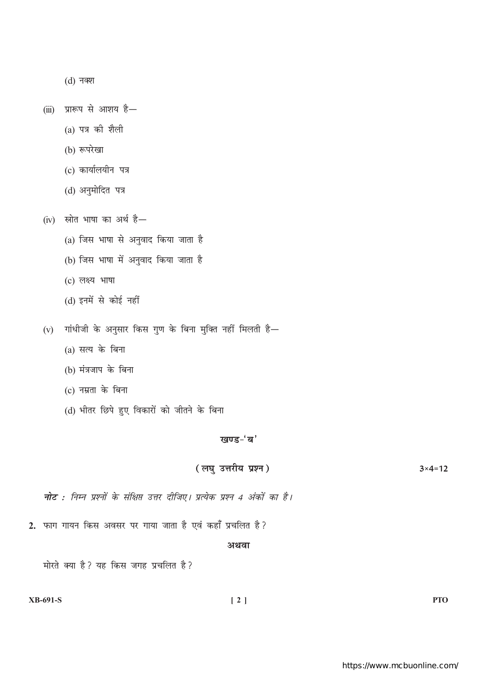$(d)$  नक्श

(iii) प्रारूप से आशय है-

- (a) पत्र की शैली
- (b) रूपरेखा
- (c) कार्यालयीन पत्र
- (d) अनुमोदित पत्र

(iv) स्रोत भाषा का अर्थ है-

- (a) जिस भाषा से अनुवाद किया जाता है
- (b) जिस भाषा में अनुवाद किया जाता है
- (c) लक्ष्य भाषा
- (d) इनमें से कोई नहीं
- (v) गांधीजी के अनुसार किस गुण के बिना मुक्ति नहीं मिलती है—
	- $(a)$  सत्य के बिना
	- (b) मंत्रजाप के बिना
	- (c) नम्रता के बिना
	- (d) भीतर छिपे हुए विकारों को जीतने के बिना

## खण्ड-'ब'

#### (लघु उत्तरीय प्रश्न)  $3 \times 4 = 12$

**नोट** : निम्न प्रश्नों के संक्षिप्त उत्तर दीजिए। प्रत्येक प्रश्न 4 अंकों का है।

2. फाग गायन किस अवसर पर गाया जाता है एवं कहाँ प्रचलित है?

### अथवा

मोरते क्या है? यह किस जगह प्रचलित है?

**XB-691-S** 

**PTO**